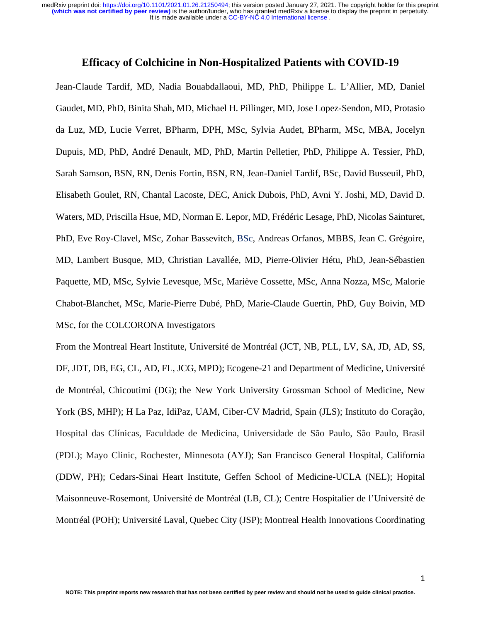## **Efficacy of Colchicine in Non-Hospitalized Patients with COVID-19**

Jean-Claude Tardif, MD, Nadia Bouabdallaoui, MD, PhD, Philippe L. L'Allier, MD, Daniel Gaudet, MD, PhD, Binita Shah, MD, Michael H. Pillinger, MD, Jose Lopez-Sendon, MD, Protasio da Luz, MD, Lucie Verret, BPharm, DPH, MSc, Sylvia Audet, BPharm, MSc, MBA, Jocelyn Dupuis, MD, PhD, André Denault, MD, PhD, Martin Pelletier, PhD, Philippe A. Tessier, PhD, Sarah Samson, BSN, RN, Denis Fortin, BSN, RN, Jean-Daniel Tardif, BSc, David Busseuil, PhD, Elisabeth Goulet, RN, Chantal Lacoste, DEC, Anick Dubois, PhD, Avni Y. Joshi, MD, David D. Waters, MD, Priscilla Hsue, MD, Norman E. Lepor, MD, Frédéric Lesage, PhD, Nicolas Sainturet, PhD, Eve Roy-Clavel, MSc, Zohar Bassevitch, BSc, Andreas Orfanos, MBBS, Jean C. Grégoire, MD, Lambert Busque, MD, Christian Lavallée, MD, Pierre-Olivier Hétu, PhD, Jean-Sébastien Paquette, MD, MSc, Sylvie Levesque, MSc, Mariève Cossette, MSc, Anna Nozza, MSc, Malorie Chabot-Blanchet, MSc, Marie-Pierre Dubé, PhD, Marie-Claude Guertin, PhD, Guy Boivin, MD MSc, for the COLCORONA Investigators

From the Montreal Heart Institute, Université de Montréal (JCT, NB, PLL, LV, SA, JD, AD, SS, DF, JDT, DB, EG, CL, AD, FL, JCG, MPD); Ecogene-21 and Department of Medicine, Université de Montréal, Chicoutimi (DG); the New York University Grossman School of Medicine, New York (BS, MHP); H La Paz, IdiPaz, UAM, Ciber-CV Madrid, Spain (JLS); Instituto do Coração, Hospital das Clínicas, Faculdade de Medicina, Universidade de São Paulo, São Paulo, Brasil (PDL); Mayo Clinic, Rochester, Minnesota (AYJ); San Francisco General Hospital, California (DDW, PH); Cedars-Sinai Heart Institute, Geffen School of Medicine-UCLA (NEL); Hopital Maisonneuve-Rosemont, Université de Montréal (LB, CL); Centre Hospitalier de l'Université de Montréal (POH); Université Laval, Quebec City (JSP); Montreal Health Innovations Coordinating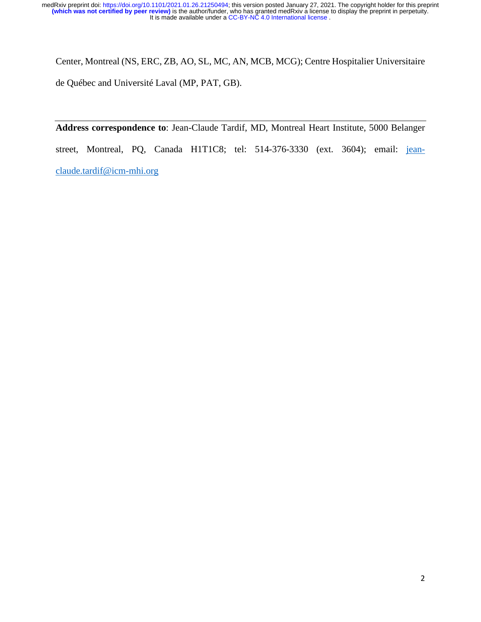Center, Montreal (NS, ERC, ZB, AO, SL, MC, AN, MCB, MCG); Centre Hospitalier Universitaire de Québec and Université Laval (MP, PAT, GB).

**Address correspondence to**: Jean-Claude Tardif, MD, Montreal Heart Institute, 5000 Belanger street, Montreal, PQ, Canada H1T1C8; tel: 514-376-3330 (ext. 3604); email: jeanclaude.tardif@icm-mhi.org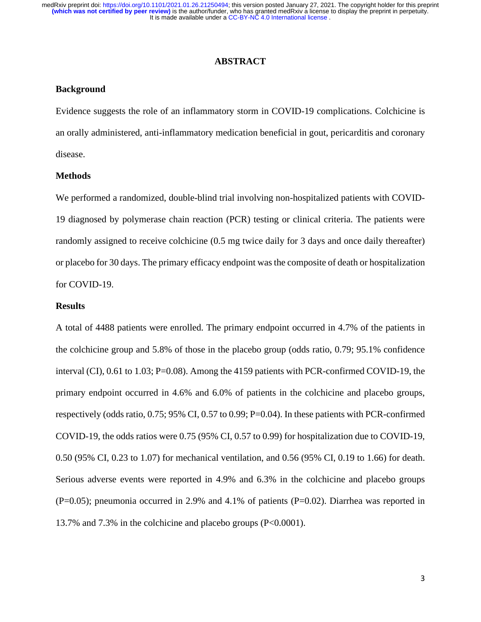#### **ABSTRACT**

#### **Background**

Evidence suggests the role of an inflammatory storm in COVID-19 complications. Colchicine is an orally administered, anti-inflammatory medication beneficial in gout, pericarditis and coronary disease.

#### **Methods**

We performed a randomized, double-blind trial involving non-hospitalized patients with COVID-19 diagnosed by polymerase chain reaction (PCR) testing or clinical criteria. The patients were randomly assigned to receive colchicine (0.5 mg twice daily for 3 days and once daily thereafter) or placebo for 30 days. The primary efficacy endpoint was the composite of death or hospitalization for COVID-19.

#### **Results**

A total of 4488 patients were enrolled. The primary endpoint occurred in 4.7% of the patients in the colchicine group and 5.8% of those in the placebo group (odds ratio, 0.79; 95.1% confidence interval (CI), 0.61 to 1.03; P=0.08). Among the 4159 patients with PCR-confirmed COVID-19, the primary endpoint occurred in 4.6% and 6.0% of patients in the colchicine and placebo groups, respectively (odds ratio, 0.75; 95% CI, 0.57 to 0.99; P=0.04). In these patients with PCR-confirmed COVID-19, the odds ratios were 0.75 (95% CI, 0.57 to 0.99) for hospitalization due to COVID-19, 0.50 (95% CI, 0.23 to 1.07) for mechanical ventilation, and 0.56 (95% CI, 0.19 to 1.66) for death. Serious adverse events were reported in 4.9% and 6.3% in the colchicine and placebo groups (P=0.05); pneumonia occurred in 2.9% and 4.1% of patients (P=0.02). Diarrhea was reported in 13.7% and 7.3% in the colchicine and placebo groups (P<0.0001).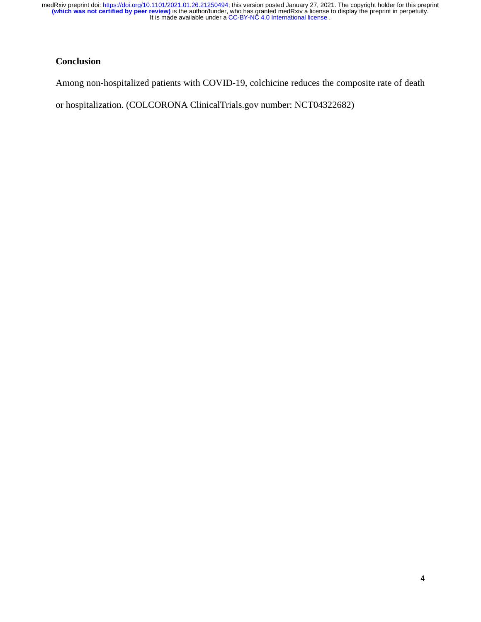# **Conclusion**

Among non-hospitalized patients with COVID-19, colchicine reduces the composite rate of death

or hospitalization. (COLCORONA ClinicalTrials.gov number: NCT04322682)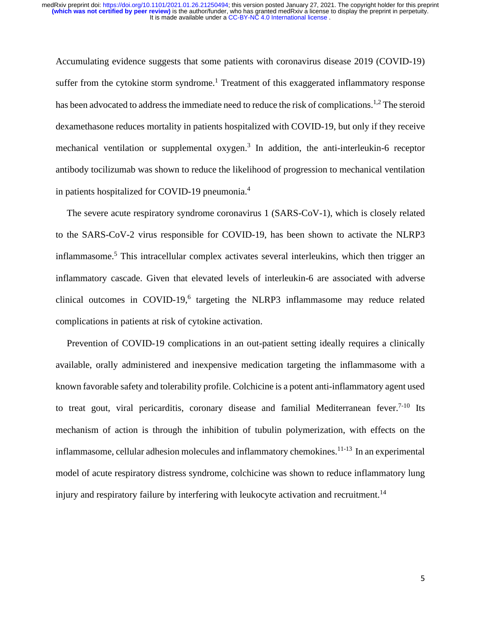Accumulating evidence suggests that some patients with coronavirus disease 2019 (COVID-19) suffer from the cytokine storm syndrome.<sup>1</sup> Treatment of this exaggerated inflammatory response has been advocated to address the immediate need to reduce the risk of complications.<sup>1,2</sup> The steroid dexamethasone reduces mortality in patients hospitalized with COVID-19, but only if they receive mechanical ventilation or supplemental oxygen.<sup>3</sup> In addition, the anti-interleukin-6 receptor antibody tocilizumab was shown to reduce the likelihood of progression to mechanical ventilation in patients hospitalized for COVID-19 pneumonia.4

The severe acute respiratory syndrome coronavirus 1 (SARS-CoV-1), which is closely related to the SARS-CoV-2 virus responsible for COVID-19, has been shown to activate the NLRP3 inflammasome.<sup>5</sup> This intracellular complex activates several interleukins, which then trigger an inflammatory cascade. Given that elevated levels of interleukin-6 are associated with adverse clinical outcomes in COVID-19, $6$  targeting the NLRP3 inflammasome may reduce related complications in patients at risk of cytokine activation.

Prevention of COVID-19 complications in an out-patient setting ideally requires a clinically available, orally administered and inexpensive medication targeting the inflammasome with a known favorable safety and tolerability profile. Colchicine is a potent anti-inflammatory agent used to treat gout, viral pericarditis, coronary disease and familial Mediterranean fever.<sup>7-10</sup> Its mechanism of action is through the inhibition of tubulin polymerization, with effects on the inflammasome, cellular adhesion molecules and inflammatory chemokines. 11-13 In an experimental model of acute respiratory distress syndrome, colchicine was shown to reduce inflammatory lung injury and respiratory failure by interfering with leukocyte activation and recruitment.<sup>14</sup>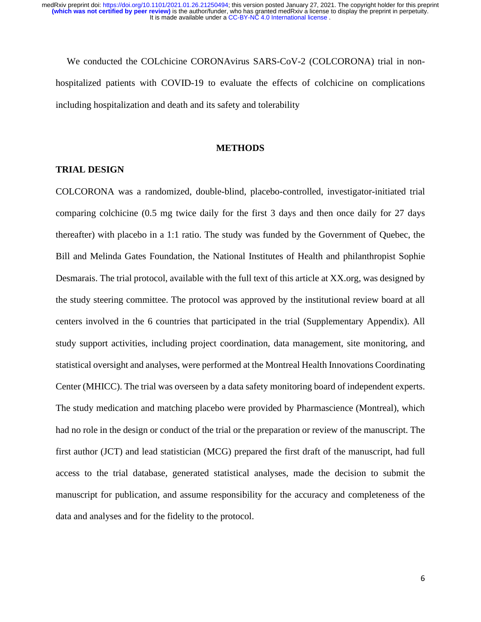We conducted the COLchicine CORONAvirus SARS-CoV-2 (COLCORONA) trial in nonhospitalized patients with COVID-19 to evaluate the effects of colchicine on complications including hospitalization and death and its safety and tolerability

#### **METHODS**

## **TRIAL DESIGN**

COLCORONA was a randomized, double-blind, placebo-controlled, investigator-initiated trial comparing colchicine (0.5 mg twice daily for the first 3 days and then once daily for 27 days thereafter) with placebo in a 1:1 ratio. The study was funded by the Government of Quebec, the Bill and Melinda Gates Foundation, the National Institutes of Health and philanthropist Sophie Desmarais. The trial protocol, available with the full text of this article at XX.org, was designed by the study steering committee. The protocol was approved by the institutional review board at all centers involved in the 6 countries that participated in the trial (Supplementary Appendix). All study support activities, including project coordination, data management, site monitoring, and statistical oversight and analyses, were performed at the Montreal Health Innovations Coordinating Center (MHICC). The trial was overseen by a data safety monitoring board of independent experts. The study medication and matching placebo were provided by Pharmascience (Montreal), which had no role in the design or conduct of the trial or the preparation or review of the manuscript. The first author (JCT) and lead statistician (MCG) prepared the first draft of the manuscript, had full access to the trial database, generated statistical analyses, made the decision to submit the manuscript for publication, and assume responsibility for the accuracy and completeness of the data and analyses and for the fidelity to the protocol.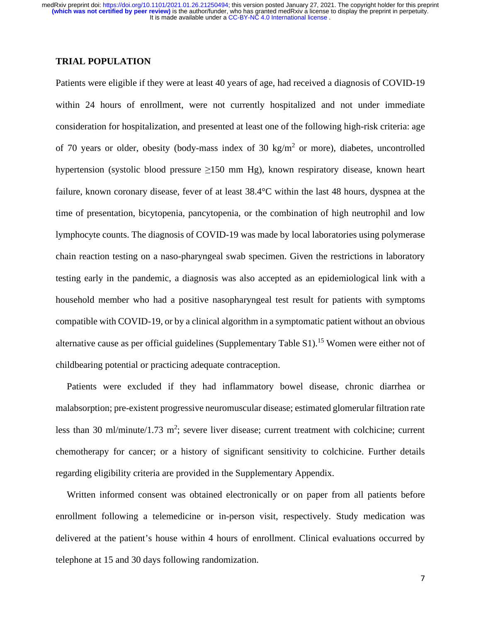### **TRIAL POPULATION**

Patients were eligible if they were at least 40 years of age, had received a diagnosis of COVID-19 within 24 hours of enrollment, were not currently hospitalized and not under immediate consideration for hospitalization, and presented at least one of the following high-risk criteria: age of 70 years or older, obesity (body-mass index of 30 kg/m<sup>2</sup> or more), diabetes, uncontrolled hypertension (systolic blood pressure  $\geq 150$  mm Hg), known respiratory disease, known heart failure, known coronary disease, fever of at least 38.4°C within the last 48 hours, dyspnea at the time of presentation, bicytopenia, pancytopenia, or the combination of high neutrophil and low lymphocyte counts. The diagnosis of COVID-19 was made by local laboratories using polymerase chain reaction testing on a naso-pharyngeal swab specimen. Given the restrictions in laboratory testing early in the pandemic, a diagnosis was also accepted as an epidemiological link with a household member who had a positive nasopharyngeal test result for patients with symptoms compatible with COVID-19, or by a clinical algorithm in a symptomatic patient without an obvious alternative cause as per official guidelines (Supplementary Table S1).<sup>15</sup> Women were either not of childbearing potential or practicing adequate contraception.

Patients were excluded if they had inflammatory bowel disease, chronic diarrhea or malabsorption; pre-existent progressive neuromuscular disease; estimated glomerular filtration rate less than 30 ml/minute/1.73 m<sup>2</sup>; severe liver disease; current treatment with colchicine; current chemotherapy for cancer; or a history of significant sensitivity to colchicine. Further details regarding eligibility criteria are provided in the Supplementary Appendix.

Written informed consent was obtained electronically or on paper from all patients before enrollment following a telemedicine or in-person visit, respectively. Study medication was delivered at the patient's house within 4 hours of enrollment. Clinical evaluations occurred by telephone at 15 and 30 days following randomization.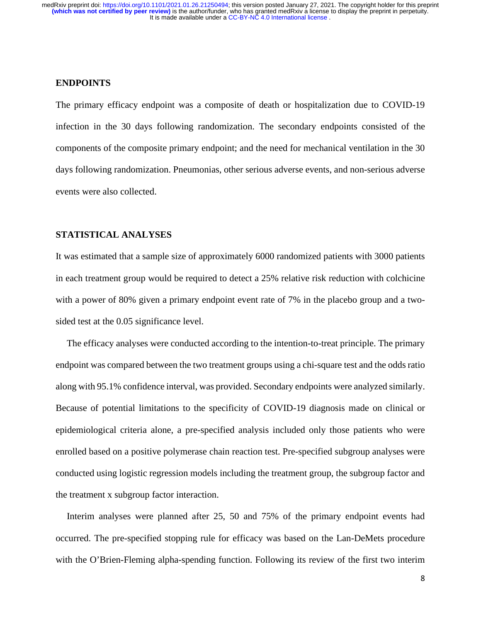### **ENDPOINTS**

The primary efficacy endpoint was a composite of death or hospitalization due to COVID-19 infection in the 30 days following randomization. The secondary endpoints consisted of the components of the composite primary endpoint; and the need for mechanical ventilation in the 30 days following randomization. Pneumonias, other serious adverse events, and non-serious adverse events were also collected.

### **STATISTICAL ANALYSES**

It was estimated that a sample size of approximately 6000 randomized patients with 3000 patients in each treatment group would be required to detect a 25% relative risk reduction with colchicine with a power of 80% given a primary endpoint event rate of 7% in the placebo group and a twosided test at the 0.05 significance level.

The efficacy analyses were conducted according to the intention-to-treat principle. The primary endpoint was compared between the two treatment groups using a chi-square test and the odds ratio along with 95.1% confidence interval, was provided. Secondary endpoints were analyzed similarly. Because of potential limitations to the specificity of COVID-19 diagnosis made on clinical or epidemiological criteria alone, a pre-specified analysis included only those patients who were enrolled based on a positive polymerase chain reaction test. Pre-specified subgroup analyses were conducted using logistic regression models including the treatment group, the subgroup factor and the treatment x subgroup factor interaction.

Interim analyses were planned after 25, 50 and 75% of the primary endpoint events had occurred. The pre-specified stopping rule for efficacy was based on the Lan-DeMets procedure with the O'Brien-Fleming alpha-spending function. Following its review of the first two interim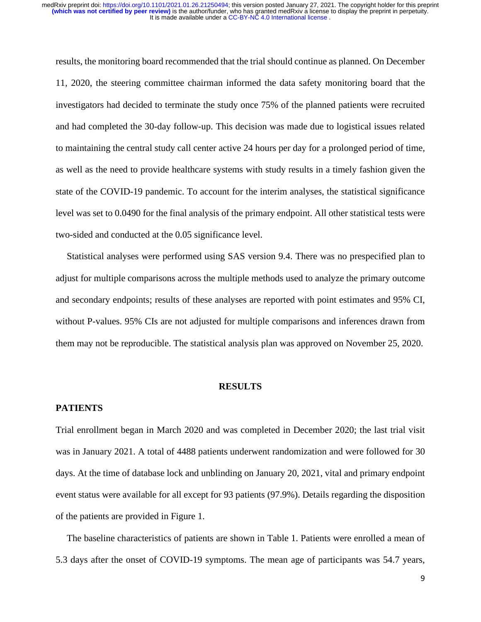results, the monitoring board recommended that the trial should continue as planned. On December 11, 2020, the steering committee chairman informed the data safety monitoring board that the investigators had decided to terminate the study once 75% of the planned patients were recruited and had completed the 30-day follow-up. This decision was made due to logistical issues related to maintaining the central study call center active 24 hours per day for a prolonged period of time, as well as the need to provide healthcare systems with study results in a timely fashion given the state of the COVID-19 pandemic. To account for the interim analyses, the statistical significance level was set to 0.0490 for the final analysis of the primary endpoint. All other statistical tests were two-sided and conducted at the 0.05 significance level.

Statistical analyses were performed using SAS version 9.4. There was no prespecified plan to adjust for multiple comparisons across the multiple methods used to analyze the primary outcome and secondary endpoints; results of these analyses are reported with point estimates and 95% CI, without P-values. 95% CIs are not adjusted for multiple comparisons and inferences drawn from them may not be reproducible. The statistical analysis plan was approved on November 25, 2020.

#### **RESULTS**

#### **PATIENTS**

Trial enrollment began in March 2020 and was completed in December 2020; the last trial visit was in January 2021. A total of 4488 patients underwent randomization and were followed for 30 days. At the time of database lock and unblinding on January 20, 2021, vital and primary endpoint event status were available for all except for 93 patients (97.9%). Details regarding the disposition of the patients are provided in Figure 1.

The baseline characteristics of patients are shown in Table 1. Patients were enrolled a mean of 5.3 days after the onset of COVID-19 symptoms. The mean age of participants was 54.7 years,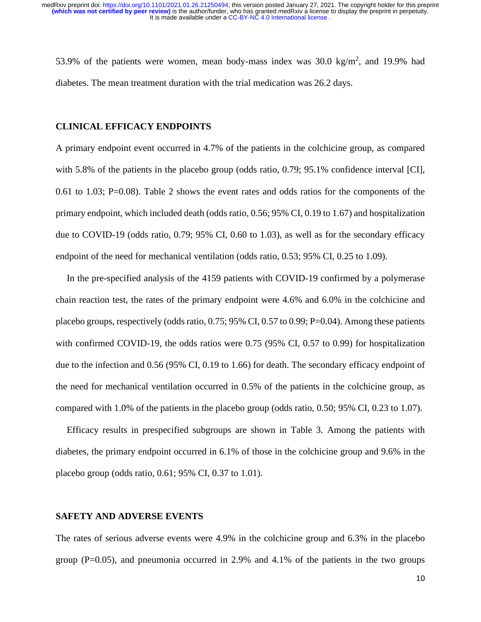53.9% of the patients were women, mean body-mass index was  $30.0 \text{ kg/m}^2$ , and 19.9% had diabetes. The mean treatment duration with the trial medication was 26.2 days.

#### **CLINICAL EFFICACY ENDPOINTS**

A primary endpoint event occurred in 4.7% of the patients in the colchicine group, as compared with 5.8% of the patients in the placebo group (odds ratio, 0.79; 95.1% confidence interval [CI], 0.61 to 1.03; P=0.08). Table 2 shows the event rates and odds ratios for the components of the primary endpoint, which included death (odds ratio, 0.56; 95% CI, 0.19 to 1.67) and hospitalization due to COVID-19 (odds ratio, 0.79; 95% CI, 0.60 to 1.03), as well as for the secondary efficacy endpoint of the need for mechanical ventilation (odds ratio, 0.53; 95% CI, 0.25 to 1.09).

In the pre-specified analysis of the 4159 patients with COVID-19 confirmed by a polymerase chain reaction test, the rates of the primary endpoint were 4.6% and 6.0% in the colchicine and placebo groups, respectively (odds ratio,  $0.75$ ;  $95\%$  CI,  $0.57$  to  $0.99$ ; P=0.04). Among these patients with confirmed COVID-19, the odds ratios were 0.75 (95% CI, 0.57 to 0.99) for hospitalization due to the infection and 0.56 (95% CI, 0.19 to 1.66) for death. The secondary efficacy endpoint of the need for mechanical ventilation occurred in 0.5% of the patients in the colchicine group, as compared with 1.0% of the patients in the placebo group (odds ratio, 0.50; 95% CI, 0.23 to 1.07).

Efficacy results in prespecified subgroups are shown in Table 3. Among the patients with diabetes, the primary endpoint occurred in 6.1% of those in the colchicine group and 9.6% in the placebo group (odds ratio, 0.61; 95% CI, 0.37 to 1.01).

## **SAFETY AND ADVERSE EVENTS**

The rates of serious adverse events were 4.9% in the colchicine group and 6.3% in the placebo group ( $P=0.05$ ), and pneumonia occurred in 2.9% and 4.1% of the patients in the two groups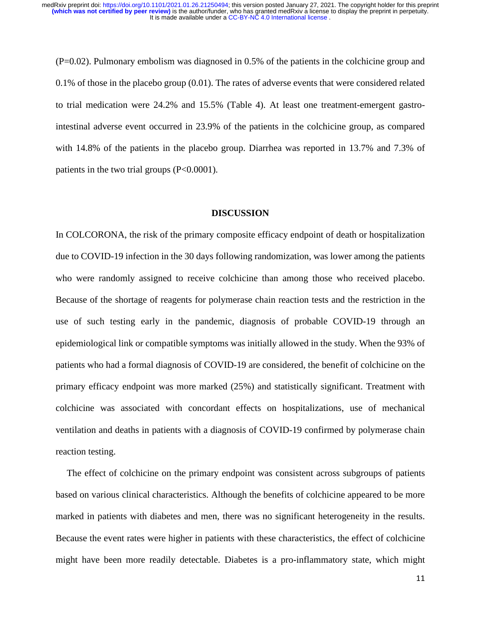(P=0.02). Pulmonary embolism was diagnosed in 0.5% of the patients in the colchicine group and 0.1% of those in the placebo group (0.01). The rates of adverse events that were considered related to trial medication were 24.2% and 15.5% (Table 4). At least one treatment-emergent gastrointestinal adverse event occurred in 23.9% of the patients in the colchicine group, as compared with 14.8% of the patients in the placebo group. Diarrhea was reported in 13.7% and 7.3% of patients in the two trial groups (P<0.0001).

#### **DISCUSSION**

In COLCORONA, the risk of the primary composite efficacy endpoint of death or hospitalization due to COVID-19 infection in the 30 days following randomization, was lower among the patients who were randomly assigned to receive colchicine than among those who received placebo. Because of the shortage of reagents for polymerase chain reaction tests and the restriction in the use of such testing early in the pandemic, diagnosis of probable COVID-19 through an epidemiological link or compatible symptoms was initially allowed in the study. When the 93% of patients who had a formal diagnosis of COVID-19 are considered, the benefit of colchicine on the primary efficacy endpoint was more marked (25%) and statistically significant. Treatment with colchicine was associated with concordant effects on hospitalizations, use of mechanical ventilation and deaths in patients with a diagnosis of COVID-19 confirmed by polymerase chain reaction testing.

The effect of colchicine on the primary endpoint was consistent across subgroups of patients based on various clinical characteristics. Although the benefits of colchicine appeared to be more marked in patients with diabetes and men, there was no significant heterogeneity in the results. Because the event rates were higher in patients with these characteristics, the effect of colchicine might have been more readily detectable. Diabetes is a pro-inflammatory state, which might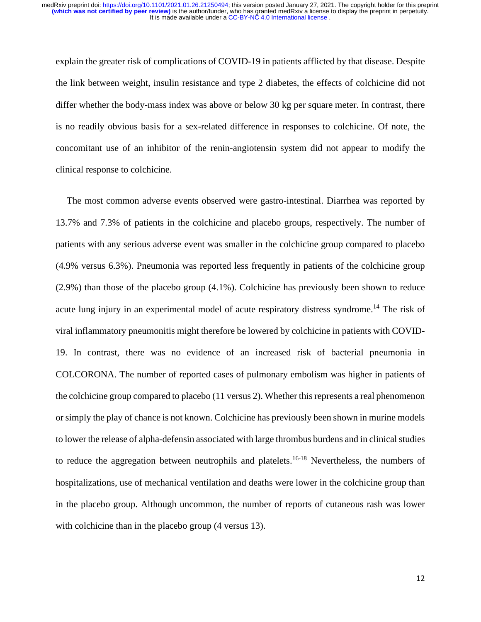explain the greater risk of complications of COVID-19 in patients afflicted by that disease. Despite the link between weight, insulin resistance and type 2 diabetes, the effects of colchicine did not differ whether the body-mass index was above or below 30 kg per square meter. In contrast, there is no readily obvious basis for a sex-related difference in responses to colchicine. Of note, the concomitant use of an inhibitor of the renin-angiotensin system did not appear to modify the clinical response to colchicine.

The most common adverse events observed were gastro-intestinal. Diarrhea was reported by 13.7% and 7.3% of patients in the colchicine and placebo groups, respectively. The number of patients with any serious adverse event was smaller in the colchicine group compared to placebo (4.9% versus 6.3%). Pneumonia was reported less frequently in patients of the colchicine group (2.9%) than those of the placebo group (4.1%). Colchicine has previously been shown to reduce acute lung injury in an experimental model of acute respiratory distress syndrome.<sup>14</sup> The risk of viral inflammatory pneumonitis might therefore be lowered by colchicine in patients with COVID-19. In contrast, there was no evidence of an increased risk of bacterial pneumonia in COLCORONA. The number of reported cases of pulmonary embolism was higher in patients of the colchicine group compared to placebo (11 versus 2). Whether this represents a real phenomenon or simply the play of chance is not known. Colchicine has previously been shown in murine models to lower the release of alpha-defensin associated with large thrombus burdens and in clinical studies to reduce the aggregation between neutrophils and platelets.<sup>16-18</sup> Nevertheless, the numbers of hospitalizations, use of mechanical ventilation and deaths were lower in the colchicine group than in the placebo group. Although uncommon, the number of reports of cutaneous rash was lower with colchicine than in the placebo group (4 versus 13).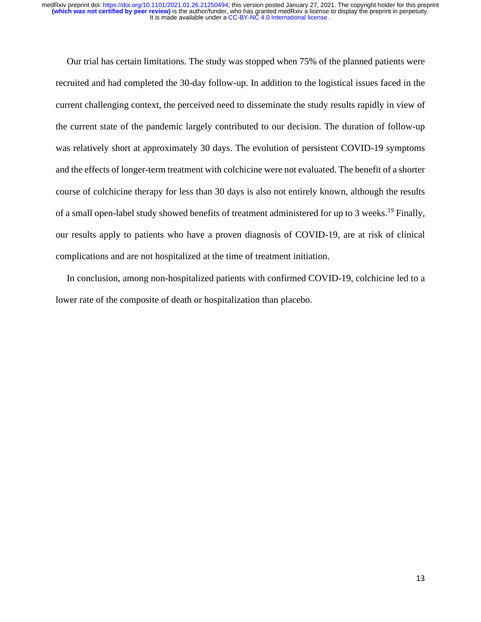Our trial has certain limitations. The study was stopped when 75% of the planned patients were recruited and had completed the 30-day follow-up. In addition to the logistical issues faced in the current challenging context, the perceived need to disseminate the study results rapidly in view of the current state of the pandemic largely contributed to our decision. The duration of follow-up was relatively short at approximately 30 days. The evolution of persistent COVID-19 symptoms and the effects of longer-term treatment with colchicine were not evaluated. The benefit of a shorter course of colchicine therapy for less than 30 days is also not entirely known, although the results of a small open-label study showed benefits of treatment administered for up to 3 weeks.<sup>19</sup> Finally, our results apply to patients who have a proven diagnosis of COVID-19, are at risk of clinical complications and are not hospitalized at the time of treatment initiation.

In conclusion, among non-hospitalized patients with confirmed COVID-19, colchicine led to a lower rate of the composite of death or hospitalization than placebo.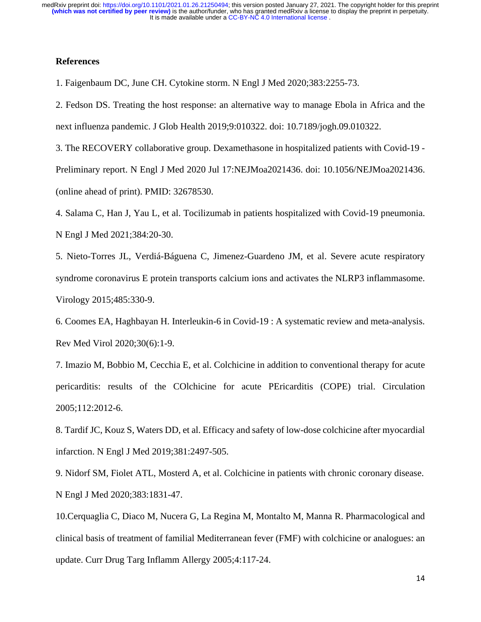## **References**

1. Faigenbaum DC, June CH. Cytokine storm. N Engl J Med 2020;383:2255-73.

2. Fedson DS. Treating the host response: an alternative way to manage Ebola in Africa and the next influenza pandemic. J Glob Health 2019;9:010322. doi: 10.7189/jogh.09.010322.

3. The RECOVERY collaborative group. Dexamethasone in hospitalized patients with Covid-19 - Preliminary report. N Engl J Med 2020 Jul 17:NEJMoa2021436. doi: 10.1056/NEJMoa2021436. (online ahead of print). PMID: 32678530.

4. Salama C, Han J, Yau L, et al. Tocilizumab in patients hospitalized with Covid-19 pneumonia. N Engl J Med 2021;384:20-30.

5. Nieto-Torres JL, Verdiá-Báguena C, Jimenez-Guardeno JM, et al. Severe acute respiratory syndrome coronavirus E protein transports calcium ions and activates the NLRP3 inflammasome. Virology 2015;485:330-9.

6. Coomes EA, Haghbayan H. Interleukin-6 in Covid-19 : A systematic review and meta-analysis. Rev Med Virol 2020;30(6):1-9.

7. Imazio M, Bobbio M, Cecchia E, et al. Colchicine in addition to conventional therapy for acute pericarditis: results of the COlchicine for acute PEricarditis (COPE) trial. Circulation 2005;112:2012-6.

8. Tardif JC, Kouz S, Waters DD, et al. Efficacy and safety of low-dose colchicine after myocardial infarction. N Engl J Med 2019;381:2497-505.

9. Nidorf SM, Fiolet ATL, Mosterd A, et al. Colchicine in patients with chronic coronary disease. N Engl J Med 2020;383:1831-47.

10.Cerquaglia C, Diaco M, Nucera G, La Regina M, Montalto M, Manna R. Pharmacological and clinical basis of treatment of familial Mediterranean fever (FMF) with colchicine or analogues: an update. Curr Drug Targ Inflamm Allergy 2005;4:117-24.

14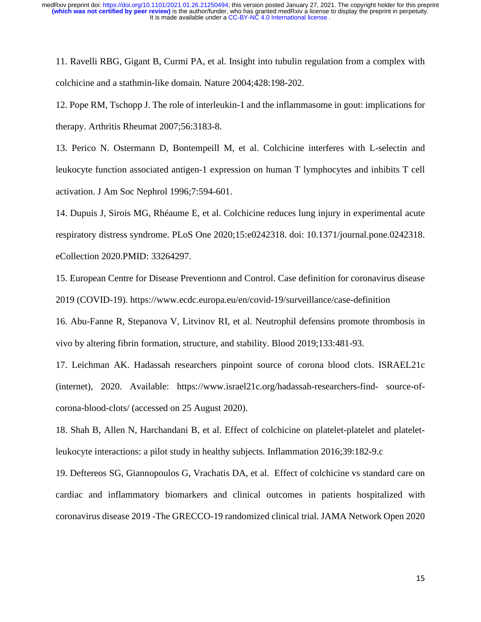11. Ravelli RBG, Gigant B, Curmi PA, et al. Insight into tubulin regulation from a complex with colchicine and a stathmin-like domain. Nature 2004;428:198-202.

12. Pope RM, Tschopp J. The role of interleukin-1 and the inflammasome in gout: implications for therapy. Arthritis Rheumat 2007;56:3183-8.

13. Perico N. Ostermann D, Bontempeill M, et al. Colchicine interferes with L-selectin and leukocyte function associated antigen-1 expression on human T lymphocytes and inhibits T cell activation. J Am Soc Nephrol 1996;7:594-601.

14. Dupuis J, Sirois MG, Rhéaume E, et al. [Colchicine reduces lung injury in experimental acute](https://pubmed.ncbi.nlm.nih.gov/33264297/)  [respiratory distress syndrome.](https://pubmed.ncbi.nlm.nih.gov/33264297/) PLoS One 2020;15:e0242318. doi: 10.1371/journal.pone.0242318. eCollection 2020.PMID: 33264297.

15. European Centre for Disease Preventionn and Control. Case definition for coronavirus disease 2019 (COVID-19). https://www.ecdc.europa.eu/en/covid-19/surveillance/case-definition

16. Abu-Fanne R, Stepanova V, Litvinov RI, et al. Neutrophil defensins promote thrombosis in vivo by altering fibrin formation, structure, and stability. Blood 2019;133:481-93.

17. Leichman AK. Hadassah researchers pinpoint source of corona blood clots. ISRAEL21c (internet), 2020. Available: https://www.israel21c.org/hadassah-researchers-find- source-ofcorona-blood-clots/ (accessed on 25 August 2020).

18. Shah B, Allen N, Harchandani B, et al. Effect of colchicine on platelet-platelet and plateletleukocyte interactions: a pilot study in healthy subjects. Inflammation 2016;39:182-9.c

19. Deftereos SG, Giannopoulos G, Vrachatis DA, et al. Effect of colchicine vs standard care on cardiac and inflammatory biomarkers and clinical outcomes in patients hospitalized with coronavirus disease 2019 -The GRECCO-19 randomized clinical trial. JAMA Network Open 2020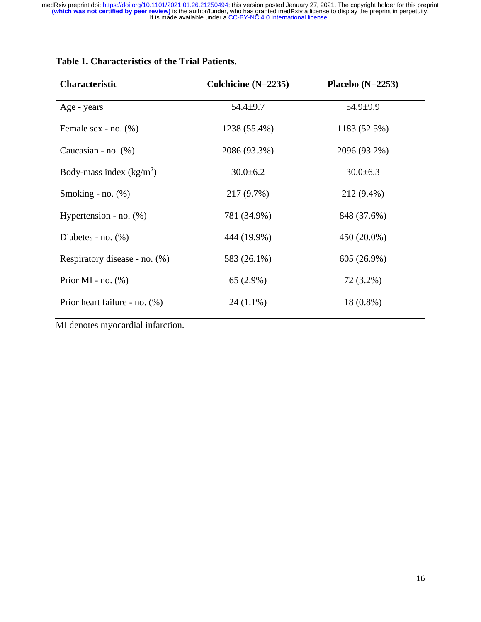| <b>Characteristic</b>         | Colchicine $(N=2235)$ | Placebo (N=2253) |
|-------------------------------|-----------------------|------------------|
| Age - years                   | $54.4 + 9.7$          | $54.9 + 9.9$     |
| Female sex - no. $(\%)$       | 1238 (55.4%)          | 1183 (52.5%)     |
| Caucasian - no. $(\%)$        | 2086 (93.3%)          | 2096 (93.2%)     |
| Body-mass index $(kg/m2)$     | $30.0 \pm 6.2$        | $30.0 \pm 6.3$   |
| Smoking - no. $(\%)$          | 217 (9.7%)            | 212 (9.4%)       |
| Hypertension - no. $(\%)$     | 781 (34.9%)           | 848 (37.6%)      |
| Diabetes - no. $(\%)$         | 444 (19.9%)           | 450 (20.0%)      |
| Respiratory disease - no. (%) | 583 (26.1%)           | 605 (26.9%)      |
| Prior MI - no. $(\%)$         | $65(2.9\%)$           | 72 (3.2%)        |
| Prior heart failure - no. (%) | $24(1.1\%)$           | 18 (0.8%)        |

## **Table 1. Characteristics of the Trial Patients.**

MI denotes myocardial infarction.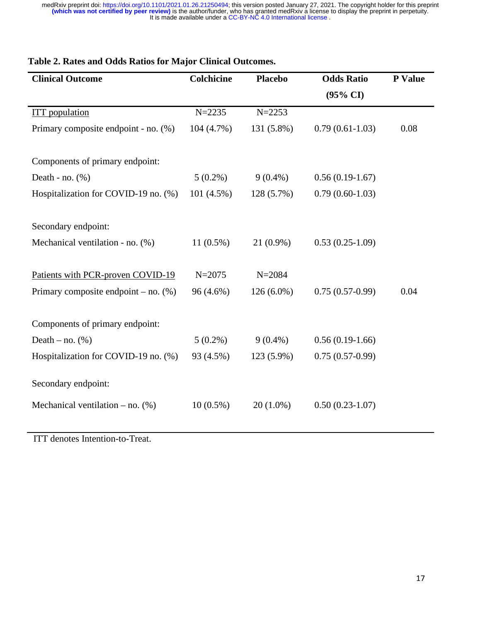| <b>Clinical Outcome</b>                 | <b>Colchicine</b> | <b>Placebo</b> | <b>Odds Ratio</b>   | P Value |
|-----------------------------------------|-------------------|----------------|---------------------|---------|
|                                         |                   |                | $(95\% \text{ CI})$ |         |
| <b>ITT</b> population                   | $N = 2235$        | $N = 2253$     |                     |         |
| Primary composite endpoint - no. (%)    | 104 (4.7%)        | 131 (5.8%)     | $0.79(0.61-1.03)$   | 0.08    |
| Components of primary endpoint:         |                   |                |                     |         |
| Death - no. $(\%)$                      | $5(0.2\%)$        | $9(0.4\%)$     | $0.56(0.19-1.67)$   |         |
| Hospitalization for COVID-19 no. (%)    | 101(4.5%)         | 128 (5.7%)     | $0.79(0.60-1.03)$   |         |
|                                         |                   |                |                     |         |
| Secondary endpoint:                     |                   |                |                     |         |
| Mechanical ventilation - no. (%)        | $11(0.5\%)$       | 21 (0.9%)      | $0.53(0.25-1.09)$   |         |
|                                         |                   |                |                     |         |
| Patients with PCR-proven COVID-19       | $N = 2075$        | $N = 2084$     |                     |         |
| Primary composite endpoint – no. $(\%)$ | 96 (4.6%)         | $126(6.0\%)$   | $0.75(0.57-0.99)$   | 0.04    |
|                                         |                   |                |                     |         |
| Components of primary endpoint:         |                   |                |                     |         |
| Death – no. $(\% )$                     | $5(0.2\%)$        | $9(0.4\%)$     | $0.56(0.19-1.66)$   |         |
| Hospitalization for COVID-19 no. (%)    | 93 (4.5%)         | 123 (5.9%)     | $0.75(0.57-0.99)$   |         |
| Secondary endpoint:                     |                   |                |                     |         |
| Mechanical ventilation – no. $(\%)$     | $10(0.5\%)$       | $20(1.0\%)$    | $0.50(0.23-1.07)$   |         |

## **Table 2. Rates and Odds Ratios for Major Clinical Outcomes.**

ITT denotes Intention-to-Treat.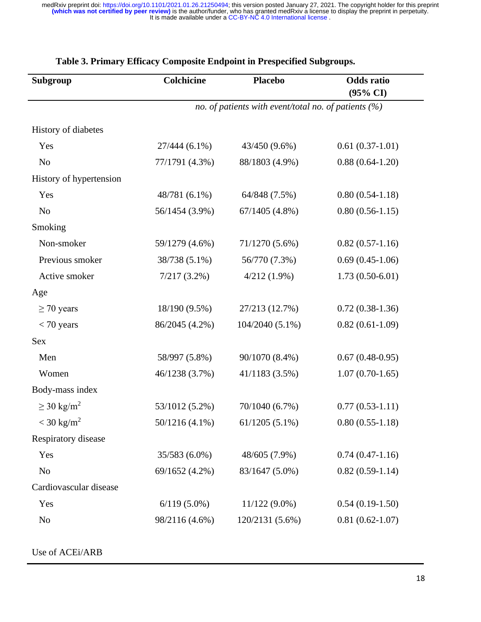| <b>Subgroup</b>             | <b>Colchicine</b>                                       | <b>Placebo</b>   | <b>Odds</b> ratio<br>$(95\% \text{ CI})$ |  |
|-----------------------------|---------------------------------------------------------|------------------|------------------------------------------|--|
|                             | no. of patients with event/total no. of patients $(\%)$ |                  |                                          |  |
| History of diabetes         |                                                         |                  |                                          |  |
| Yes                         | $27/444(6.1\%)$                                         | 43/450 (9.6%)    | $0.61(0.37-1.01)$                        |  |
| No                          | 77/1791 (4.3%)                                          | 88/1803 (4.9%)   | $0.88(0.64-1.20)$                        |  |
| History of hypertension     |                                                         |                  |                                          |  |
| Yes                         | 48/781 (6.1%)                                           | 64/848 (7.5%)    | $0.80(0.54-1.18)$                        |  |
| No                          | 56/1454 (3.9%)                                          | $67/1405$ (4.8%) | $0.80(0.56-1.15)$                        |  |
| Smoking                     |                                                         |                  |                                          |  |
| Non-smoker                  | 59/1279 (4.6%)                                          | 71/1270 (5.6%)   | $0.82(0.57-1.16)$                        |  |
| Previous smoker             | 38/738 (5.1%)                                           | 56/770 (7.3%)    | $0.69(0.45-1.06)$                        |  |
| Active smoker               | $7/217(3.2\%)$                                          | $4/212(1.9\%)$   | $1.73(0.50-6.01)$                        |  |
| Age                         |                                                         |                  |                                          |  |
| $\geq$ 70 years             | 18/190 (9.5%)                                           | 27/213 (12.7%)   | $0.72(0.38-1.36)$                        |  |
| $<$ 70 years                | 86/2045 (4.2%)                                          | 104/2040 (5.1%)  | $0.82(0.61-1.09)$                        |  |
| <b>Sex</b>                  |                                                         |                  |                                          |  |
| Men                         | 58/997 (5.8%)                                           | 90/1070 (8.4%)   | $0.67(0.48-0.95)$                        |  |
| Women                       | 46/1238 (3.7%)                                          | 41/1183 (3.5%)   | $1.07(0.70-1.65)$                        |  |
| Body-mass index             |                                                         |                  |                                          |  |
| $\geq$ 30 kg/m <sup>2</sup> | 53/1012 (5.2%)                                          | 70/1040 (6.7%)   | $0.77(0.53-1.11)$                        |  |
| $<$ 30 kg/m <sup>2</sup>    | $50/1216(4.1\%)$                                        | $61/1205(5.1\%)$ | $0.80(0.55-1.18)$                        |  |
| Respiratory disease         |                                                         |                  |                                          |  |
| Yes                         | 35/583 (6.0%)                                           | 48/605 (7.9%)    | $0.74(0.47-1.16)$                        |  |
| No                          | 69/1652 (4.2%)                                          | 83/1647 (5.0%)   | $0.82(0.59-1.14)$                        |  |
| Cardiovascular disease      |                                                         |                  |                                          |  |
| Yes                         | $6/119(5.0\%)$                                          | $11/122(9.0\%)$  | $0.54(0.19-1.50)$                        |  |
| No                          | 98/2116 (4.6%)                                          | 120/2131 (5.6%)  | $0.81(0.62 - 1.07)$                      |  |

# **Table 3. Primary Efficacy Composite Endpoint in Prespecified Subgroups.**

Use of ACEi/ARB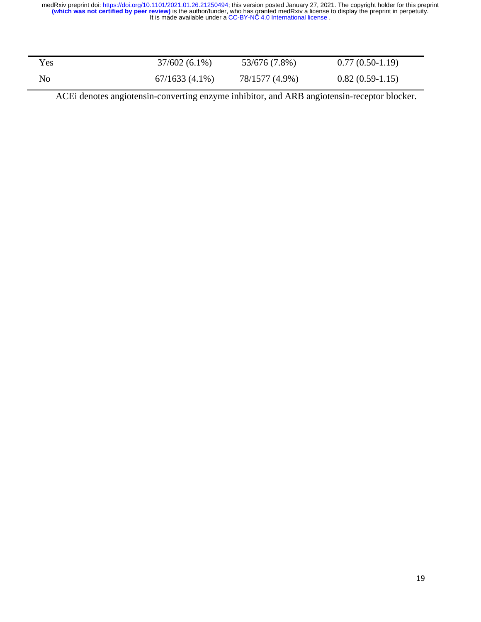| <b>Yes</b>     | $37/602(6.1\%)$  | 53/676 (7.8%)  | $0.77(0.50-1.19)$ |
|----------------|------------------|----------------|-------------------|
| N <sub>o</sub> | $67/1633(4.1\%)$ | 78/1577 (4.9%) | $0.82(0.59-1.15)$ |

ACEi denotes angiotensin-converting enzyme inhibitor, and ARB angiotensin-receptor blocker.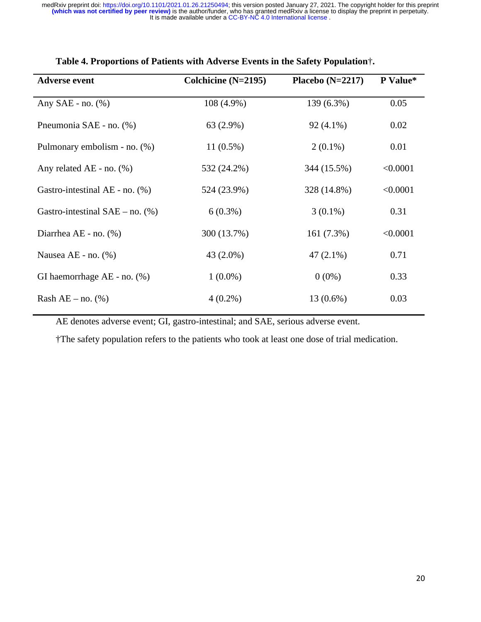| <b>Adverse event</b>                 | Colchicine (N=2195) | Placebo $(N=2217)$ | P Value* |
|--------------------------------------|---------------------|--------------------|----------|
| Any $SAE$ - no. $(\%)$               | 108 (4.9%)          | 139 (6.3%)         | 0.05     |
| Pneumonia SAE - no. (%)              | 63 (2.9%)           | $92(4.1\%)$        | 0.02     |
| Pulmonary embolism - no. (%)         | $11(0.5\%)$         | $2(0.1\%)$         | 0.01     |
| Any related AE - no. $(\%)$          | 532 (24.2%)         | 344 (15.5%)        | < 0.0001 |
| Gastro-intestinal AE - no. $(\%)$    | 524 (23.9%)         | 328 (14.8%)        | < 0.0001 |
| Gastro-intestinal $SAE$ – no. $(\%)$ | $6(0.3\%)$          | $3(0.1\%)$         | 0.31     |
| Diarrhea AE - no. (%)                | 300 (13.7%)         | 161 (7.3%)         | < 0.0001 |
| Nausea AE - no. (%)                  | 43 (2.0%)           | $47(2.1\%)$        | 0.71     |
| GI haemorrhage $AE$ - no. $(\%)$     | $1(0.0\%)$          | $0(0\%)$           | 0.33     |
| Rash $AE - no.$ (%)                  | $4(0.2\%)$          | $13(0.6\%)$        | 0.03     |

## **Table 4. Proportions of Patients with Adverse Events in the Safety Population**†**.**

AE denotes adverse event; GI, gastro-intestinal; and SAE, serious adverse event.

†The safety population refers to the patients who took at least one dose of trial medication.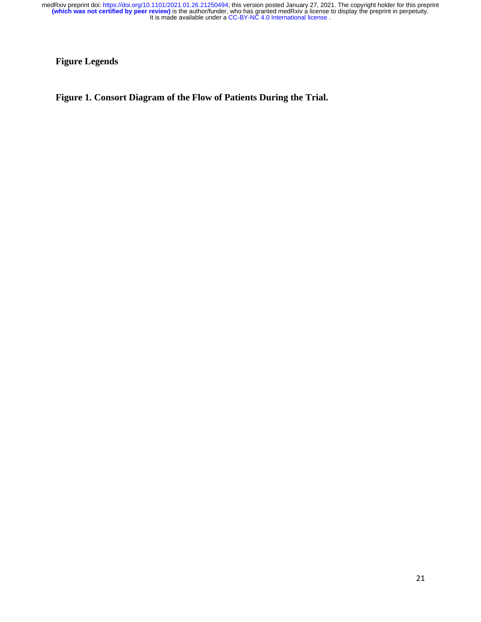**Figure Legends**

**Figure 1. Consort Diagram of the Flow of Patients During the Trial.**